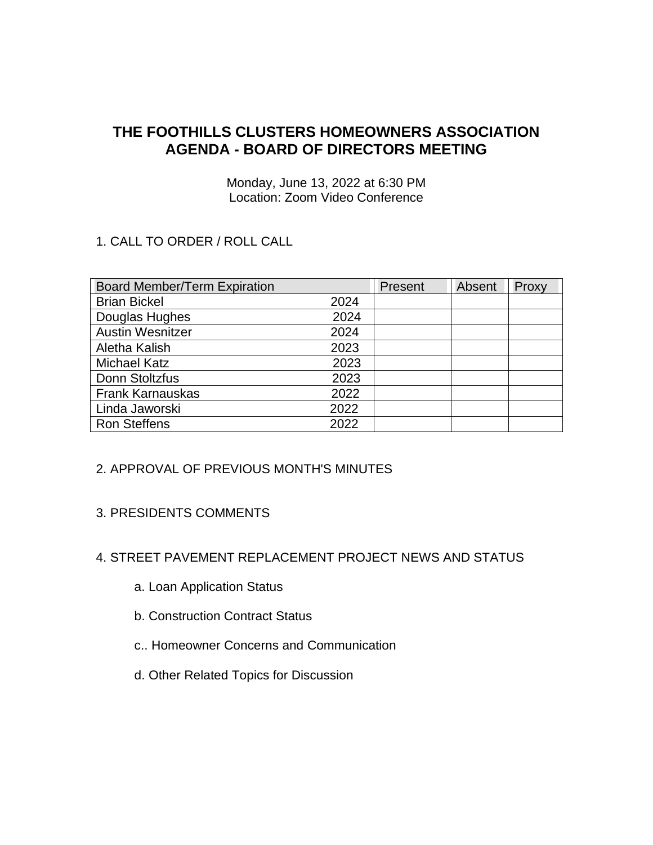# **THE FOOTHILLS CLUSTERS HOMEOWNERS ASSOCIATION AGENDA - BOARD OF DIRECTORS MEETING**

Monday, June 13, 2022 at 6:30 PM Location: Zoom Video Conference

## 1. CALL TO ORDER / ROLL CALL

| <b>Board Member/Term Expiration</b> |      | Present | Absent | Proxy |
|-------------------------------------|------|---------|--------|-------|
| <b>Brian Bickel</b>                 | 2024 |         |        |       |
| Douglas Hughes                      | 2024 |         |        |       |
| <b>Austin Wesnitzer</b>             | 2024 |         |        |       |
| Aletha Kalish                       | 2023 |         |        |       |
| <b>Michael Katz</b>                 | 2023 |         |        |       |
| Donn Stoltzfus                      | 2023 |         |        |       |
| <b>Frank Karnauskas</b>             | 2022 |         |        |       |
| Linda Jaworski                      | 2022 |         |        |       |
| <b>Ron Steffens</b>                 | 2022 |         |        |       |

#### 2. APPROVAL OF PREVIOUS MONTH'S MINUTES

#### 3. PRESIDENTS COMMENTS

# 4. STREET PAVEMENT REPLACEMENT PROJECT NEWS AND STATUS

- a. Loan Application Status
- b. Construction Contract Status
- c.. Homeowner Concerns and Communication
- d. Other Related Topics for Discussion